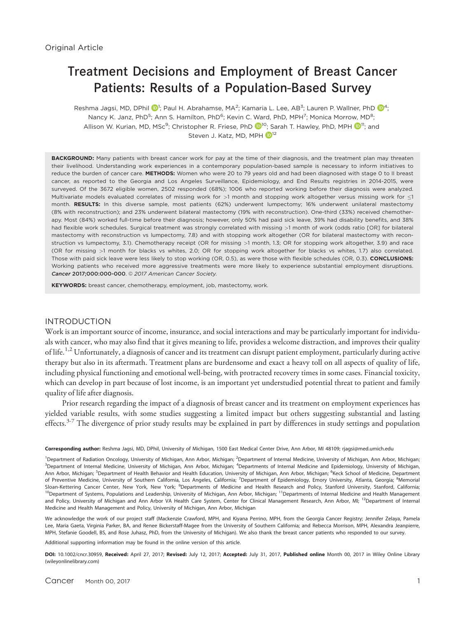# Treatment Decisions and Employment of Breast Cancer Patients: Results of a Population-Based Survey

Reshma Jagsi, MD, DPhil  $\textcircled{\}^1;$  Paul H. Abrahamse, MA<sup>2</sup>; Kamaria L. Lee, AB<sup>3</sup>; Lauren P. Wallner, PhD  $\textcircled{\}^4;$ Nancy K. Janz, PhD<sup>5</sup>; Ann S. Hamilton, PhD<sup>6</sup>; Kevin C. Ward, PhD, MPH<sup>7</sup>; Monica Morrow, MD<sup>8</sup>; Allison W. Kurian, MD, MSc<sup>9</sup>; Christopher R. Friese, PhD  $\bullet^{\text{IO}}$ ; Sarah T. Hawley, PhD, MPH  $\bullet^{\text{II}}$ ; and Steven J. Katz, MD, MPH  $\blacksquare$ <sup>[1](http://orcid.org/0000-0002-1151-861X)2</sup>

BACKGROUND: Many patients with breast cancer work for pay at the time of their diagnosis, and the treatment plan may threaten their livelihood. Understanding work experiences in a contemporary population-based sample is necessary to inform initiatives to reduce the burden of cancer care. METHODS: Women who were 20 to 79 years old and had been diagnosed with stage 0 to II breast cancer, as reported to the Georgia and Los Angeles Surveillance, Epidemiology, and End Results registries in 2014-2015, were surveyed. Of the 3672 eligible women, 2502 responded (68%); 1006 who reported working before their diagnosis were analyzed. Multivariate models evaluated correlates of missing work for >1 month and stopping work altogether versus missing work for  $\leq$ 1 month. RESULTS: In this diverse sample, most patients (62%) underwent lumpectomy; 16% underwent unilateral mastectomy (8% with reconstruction); and 23% underwent bilateral mastectomy (19% with reconstruction). One-third (33%) received chemotherapy. Most (84%) worked full-time before their diagnosis; however, only 50% had paid sick leave, 39% had disability benefits, and 38% had flexible work schedules. Surgical treatment was strongly correlated with missing >1 month of work (odds ratio [OR] for bilateral mastectomy with reconstruction vs lumpectomy, 7.8) and with stopping work altogether (OR for bilateral mastectomy with reconstruction vs lumpectomy, 3.1). Chemotherapy receipt (OR for missing >1 month, 1.3; OR for stopping work altogether, 3.9) and race (OR for missing >1 month for blacks vs whites, 2.0; OR for stopping work altogether for blacks vs whites, 1.7) also correlated. Those with paid sick leave were less likely to stop working (OR, 0.5), as were those with flexible schedules (OR, 0.3). CONCLUSIONS: Working patients who received more aggressive treatments were more likely to experience substantial employment disruptions. Cancer 2017;000:000-000. 2017 American Cancer Society.

KEYWORDS: breast cancer, chemotherapy, employment, job, mastectomy, work.

# INTRODUCTION

Work is an important source of income, insurance, and social interactions and may be particularly important for individuals with cancer, who may also find that it gives meaning to life, provides a welcome distraction, and improves their quality of life.<sup>1,2</sup> Unfortunately, a diagnosis of cancer and its treatment can disrupt patient employment, particularly during active therapy but also in its aftermath. Treatment plans are burdensome and exact a heavy toll on all aspects of quality of life, including physical functioning and emotional well-being, with protracted recovery times in some cases. Financial toxicity, which can develop in part because of lost income, is an important yet understudied potential threat to patient and family quality of life after diagnosis.

Prior research regarding the impact of a diagnosis of breast cancer and its treatment on employment experiences has yielded variable results, with some studies suggesting a limited impact but others suggesting substantial and lasting effects.<sup>3-7</sup> The divergence of prior study results may be explained in part by differences in study settings and population

Corresponding author: Reshma Jagsi, MD, DPhil, University of Michigan, 1500 East Medical Center Drive, Ann Arbor, MI 48109; rjagsi@med.umich.edu

<sup>1</sup>Department of Radiation Oncology, University of Michigan, Ann Arbor, Michigan; <sup>2</sup>Department of Internal Medicine, University of Michigan, Ann Arbor, Michigan; <sup>3</sup>Department of Internal Medicine, University of Michigan, Ann Arbor, Michigan; <sup>4</sup>Departments of Internal Medicine and Epidemiology, University of Michigan, Ann Arbor, Michigan; <sup>5</sup>Department of Health Behavior and Health Education, University of Michigan, Ann Arbor, Michigan; <sup>6</sup>Keck School of Medicine, Department of Preventive Medicine, University of Southern California, Los Angeles, California; <sup>7</sup>Department of Epidemiology, Emory University, Atlanta, Georgia; <sup>8</sup>Memorial Sloan-Kettering Cancer Center, New York, New York; <sup>9</sup>Departments of Medicine and Health Research and Policy, Stanford University, Stanford, California; <sup>10</sup>Department of Systems, Populations and Leadership, University of Michigan, Ann Arbor, Michigan; <sup>11</sup>Departments of Internal Medicine and Health Management and Policy, University of Michigan and Ann Arbor VA Health Care System, Center for Clinical Management Research, Ann Arbor, MI; <sup>12</sup>Department of Internal Medicine and Health Management and Policy, University of Michigan, Ann Arbor, Michigan

We acknowledge the work of our project staff (Mackenzie Crawford, MPH, and Kiyana Perrino, MPH, from the Georgia Cancer Registry; Jennifer Zelaya, Pamela Lee, Maria Gaeta, Virginia Parker, BA, and Renee Bickerstaff-Magee from the University of Southern California; and Rebecca Morrison, MPH, Alexandra Jeanpierre, MPH, Stefanie Goodell, BS, and Rose Juhasz, PhD, from the University of Michigan). We also thank the breast cancer patients who responded to our survey.

Additional supporting information may be found in the online version of this article.

DOI: 10.1002/cncr.30959, Received: April 27, 2017; Revised: July 12, 2017; Accepted: July 31, 2017, Published online Month 00, 2017 in Wiley Online Library (wileyonlinelibrary.com)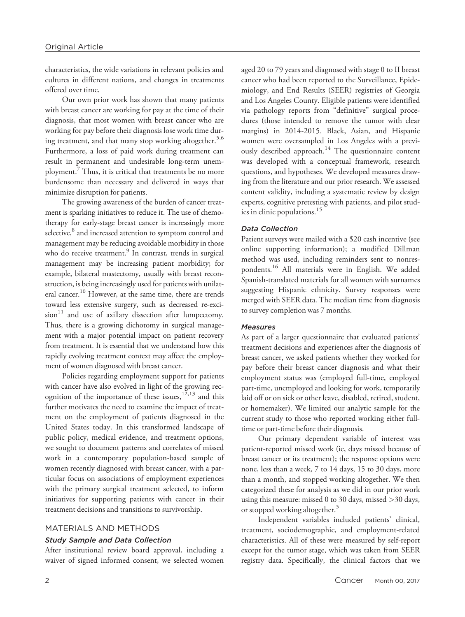characteristics, the wide variations in relevant policies and cultures in different nations, and changes in treatments offered over time.

Our own prior work has shown that many patients with breast cancer are working for pay at the time of their diagnosis, that most women with breast cancer who are working for pay before their diagnosis lose work time during treatment, and that many stop working altogether.<sup>5,6</sup> Furthermore, a loss of paid work during treatment can result in permanent and undesirable long-term unemployment.7 Thus, it is critical that treatments be no more burdensome than necessary and delivered in ways that minimize disruption for patients.

The growing awareness of the burden of cancer treatment is sparking initiatives to reduce it. The use of chemotherapy for early-stage breast cancer is increasingly more selective,<sup>8</sup> and increased attention to symptom control and management may be reducing avoidable morbidity in those who do receive treatment.<sup>9</sup> In contrast, trends in surgical management may be increasing patient morbidity; for example, bilateral mastectomy, usually with breast reconstruction, is being increasingly used for patients with unilateral cancer.10 However, at the same time, there are trends toward less extensive surgery, such as decreased re-exci $sion<sup>11</sup>$  and use of axillary dissection after lumpectomy. Thus, there is a growing dichotomy in surgical management with a major potential impact on patient recovery from treatment. It is essential that we understand how this rapidly evolving treatment context may affect the employment of women diagnosed with breast cancer.

Policies regarding employment support for patients with cancer have also evolved in light of the growing recognition of the importance of these issues,  $12,13$  and this further motivates the need to examine the impact of treatment on the employment of patients diagnosed in the United States today. In this transformed landscape of public policy, medical evidence, and treatment options, we sought to document patterns and correlates of missed work in a contemporary population-based sample of women recently diagnosed with breast cancer, with a particular focus on associations of employment experiences with the primary surgical treatment selected, to inform initiatives for supporting patients with cancer in their treatment decisions and transitions to survivorship.

## MATERIALS AND METHODS

#### Study Sample and Data Collection

After institutional review board approval, including a waiver of signed informed consent, we selected women aged 20 to 79 years and diagnosed with stage 0 to II breast cancer who had been reported to the Surveillance, Epidemiology, and End Results (SEER) registries of Georgia and Los Angeles County. Eligible patients were identified via pathology reports from "definitive" surgical procedures (those intended to remove the tumor with clear margins) in 2014-2015. Black, Asian, and Hispanic women were oversampled in Los Angeles with a previously described approach.<sup>14</sup> The questionnaire content was developed with a conceptual framework, research questions, and hypotheses. We developed measures drawing from the literature and our prior research. We assessed content validity, including a systematic review by design experts, cognitive pretesting with patients, and pilot studies in clinic populations.<sup>15</sup>

## Data Collection

Patient surveys were mailed with a \$20 cash incentive (see online supporting information); a modified Dillman method was used, including reminders sent to nonrespondents.16 All materials were in English. We added Spanish-translated materials for all women with surnames suggesting Hispanic ethnicity. Survey responses were merged with SEER data. The median time from diagnosis to survey completion was 7 months.

#### Measures

As part of a larger questionnaire that evaluated patients' treatment decisions and experiences after the diagnosis of breast cancer, we asked patients whether they worked for pay before their breast cancer diagnosis and what their employment status was (employed full-time, employed part-time, unemployed and looking for work, temporarily laid off or on sick or other leave, disabled, retired, student, or homemaker). We limited our analytic sample for the current study to those who reported working either fulltime or part-time before their diagnosis.

Our primary dependent variable of interest was patient-reported missed work (ie, days missed because of breast cancer or its treatment); the response options were none, less than a week, 7 to 14 days, 15 to 30 days, more than a month, and stopped working altogether. We then categorized these for analysis as we did in our prior work using this measure: missed 0 to 30 days, missed >30 days, or stopped working altogether.<sup>5</sup>

Independent variables included patients' clinical, treatment, sociodemographic, and employment-related characteristics. All of these were measured by self-report except for the tumor stage, which was taken from SEER registry data. Specifically, the clinical factors that we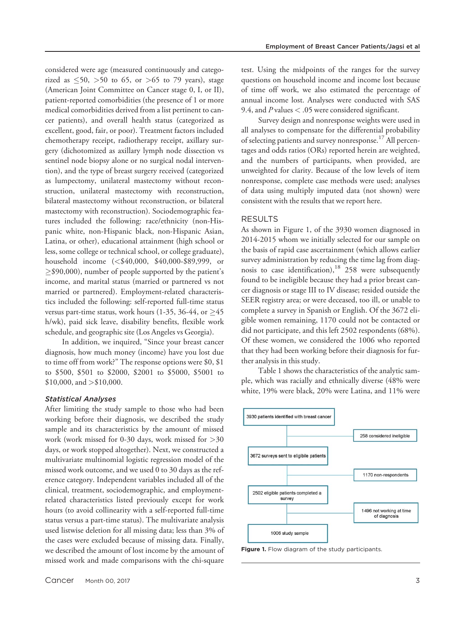considered were age (measured continuously and categorized as  $\leq 50$ ,  $> 50$  to 65, or  $> 65$  to 79 years), stage (American Joint Committee on Cancer stage 0, I, or II), patient-reported comorbidities (the presence of 1 or more medical comorbidities derived from a list pertinent to cancer patients), and overall health status (categorized as excellent, good, fair, or poor). Treatment factors included chemotherapy receipt, radiotherapy receipt, axillary surgery (dichotomized as axillary lymph node dissection vs sentinel node biopsy alone or no surgical nodal intervention), and the type of breast surgery received (categorized as lumpectomy, unilateral mastectomy without reconstruction, unilateral mastectomy with reconstruction, bilateral mastectomy without reconstruction, or bilateral mastectomy with reconstruction). Sociodemographic features included the following: race/ethnicity (non-Hispanic white, non-Hispanic black, non-Hispanic Asian, Latina, or other), educational attainment (high school or less, some college or technical school, or college graduate), household income (<\$40,000, \$40,000-\$89,999, or  $\geq$ \$90,000), number of people supported by the patient's income, and marital status (married or partnered vs not married or partnered). Employment-related characteristics included the following: self-reported full-time status versus part-time status, work hours  $(1-35, 36-44, 0r > 45)$ h/wk), paid sick leave, disability benefits, flexible work schedule, and geographic site (Los Angeles vs Georgia).

In addition, we inquired, "Since your breast cancer diagnosis, how much money (income) have you lost due to time off from work?" The response options were \$0, \$1 to \$500, \$501 to \$2000, \$2001 to \$5000, \$5001 to  $$10,000$ , and  $>$10,000$ .

#### Statistical Analyses

After limiting the study sample to those who had been working before their diagnosis, we described the study sample and its characteristics by the amount of missed work (work missed for 0-30 days, work missed for >30 days, or work stopped altogether). Next, we constructed a multivariate multinomial logistic regression model of the missed work outcome, and we used 0 to 30 days as the reference category. Independent variables included all of the clinical, treatment, sociodemographic, and employmentrelated characteristics listed previously except for work hours (to avoid collinearity with a self-reported full-time status versus a part-time status). The multivariate analysis used listwise deletion for all missing data; less than 3% of the cases were excluded because of missing data. Finally, we described the amount of lost income by the amount of missed work and made comparisons with the chi-square test. Using the midpoints of the ranges for the survey questions on household income and income lost because of time off work, we also estimated the percentage of annual income lost. Analyses were conducted with SAS 9.4, and  $P$  values  $<$  .05 were considered significant.

Survey design and nonresponse weights were used in all analyses to compensate for the differential probability of selecting patients and survey nonresponse.<sup>17</sup> All percentages and odds ratios (ORs) reported herein are weighted, and the numbers of participants, when provided, are unweighted for clarity. Because of the low levels of item nonresponse, complete case methods were used; analyses of data using multiply imputed data (not shown) were consistent with the results that we report here.

# RESULTS

As shown in Figure 1, of the 3930 women diagnosed in 2014-2015 whom we initially selected for our sample on the basis of rapid case ascertainment (which allows earlier survey administration by reducing the time lag from diagnosis to case identification), $18$  258 were subsequently found to be ineligible because they had a prior breast cancer diagnosis or stage III to IV disease; resided outside the SEER registry area; or were deceased, too ill, or unable to complete a survey in Spanish or English. Of the 3672 eligible women remaining, 1170 could not be contacted or did not participate, and this left 2502 respondents (68%). Of these women, we considered the 1006 who reported that they had been working before their diagnosis for further analysis in this study.

Table 1 shows the characteristics of the analytic sample, which was racially and ethnically diverse (48% were white, 19% were black, 20% were Latina, and 11% were



Figure 1. Flow diagram of the study participants.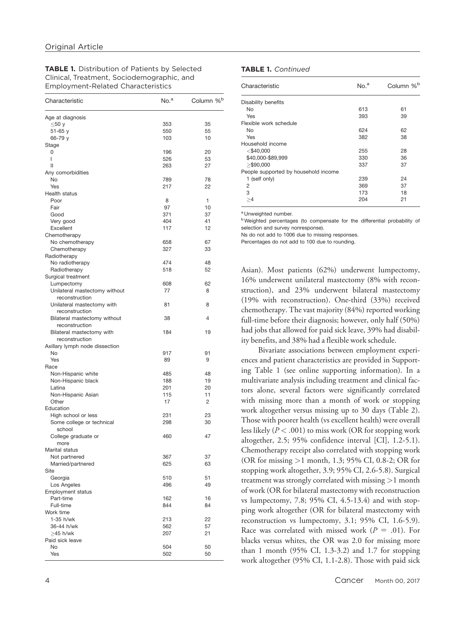TABLE 1. Distribution of Patients by Selected Clinical, Treatment, Sociodemographic, and Employment-Related Characteristics

| Characteristic                                   | No. <sup>a</sup> | Column % <sup>b</sup> |  |
|--------------------------------------------------|------------------|-----------------------|--|
| Age at diagnosis                                 |                  |                       |  |
| $\leq 50$ y                                      | 353              | 35                    |  |
| 51-65 y                                          | 550              | 55                    |  |
| 66-79 y                                          | 103              | 10                    |  |
| Stage                                            |                  |                       |  |
| 0                                                | 196              | 20                    |  |
| I                                                | 526              | 53                    |  |
| Ш                                                | 263              | 27                    |  |
| Any comorbidities                                |                  |                       |  |
| No                                               | 789              | 78                    |  |
| Yes                                              | 217              | 22                    |  |
| Health status                                    |                  |                       |  |
| Poor                                             | 8                | 1                     |  |
| Fair                                             | 97<br>371        | 10<br>37              |  |
| Good                                             | 404              | 41                    |  |
| Very good<br>Excellent                           | 117              | 12                    |  |
| Chemotherapy                                     |                  |                       |  |
| No chemotherapy                                  | 658              | 67                    |  |
| Chemotherapy                                     | 327              | 33                    |  |
| Radiotherapy                                     |                  |                       |  |
| No radiotherapy                                  | 474              | 48                    |  |
| Radiotherapy                                     | 518              | 52                    |  |
| Surgical treatment                               |                  |                       |  |
| Lumpectomy                                       | 608              | 62                    |  |
| Unilateral mastectomy without                    | 77               | 8                     |  |
| reconstruction                                   |                  |                       |  |
| Unilateral mastectomy with                       | 81               | 8                     |  |
| reconstruction                                   |                  |                       |  |
| Bilateral mastectomy without                     | 38               | 4                     |  |
| reconstruction                                   |                  |                       |  |
| Bilateral mastectomy with                        | 184              | 19                    |  |
| reconstruction                                   |                  |                       |  |
| Axillary lymph node dissection                   |                  |                       |  |
| No                                               | 917              | 91                    |  |
| Yes                                              | 89               | 9                     |  |
| Race                                             |                  |                       |  |
| Non-Hispanic white                               | 485              | 48                    |  |
| Non-Hispanic black                               | 188              | 19                    |  |
| Latina                                           | 201              | 20                    |  |
| Non-Hispanic Asian                               | 115              | 11                    |  |
| Other                                            | 17               | 2                     |  |
| Education                                        | 231              | 23                    |  |
| High school or less<br>Some college or technical | 298              | 30                    |  |
| school                                           |                  |                       |  |
| College graduate or                              | 460              | 47                    |  |
| more                                             |                  |                       |  |
| Marital status                                   |                  |                       |  |
| Not partnered                                    | 367              | 37                    |  |
| Married/partnered                                | 625              | 63                    |  |
| Site                                             |                  |                       |  |
| Georgia                                          | 510              | 51                    |  |
| Los Angeles                                      | 496              | 49                    |  |
| <b>Employment status</b>                         |                  |                       |  |
| Part-time                                        | 162              | 16                    |  |
| Full-time                                        | 844              | 84                    |  |
| Work time                                        |                  |                       |  |
| 1-35 h/wk                                        | 213              | 22                    |  |
| 36-44 h/wk                                       | 562              | 57                    |  |
| $\geq$ 45 h/wk                                   | 207              | 21                    |  |
| Paid sick leave                                  |                  |                       |  |
| No                                               | 504              | 50                    |  |
| Yes                                              | 502              | 50                    |  |

#### TABLE 1. Continued

| Characteristic                       | No. <sup>a</sup> | Column % <sup>b</sup> |  |
|--------------------------------------|------------------|-----------------------|--|
| Disability benefits                  |                  |                       |  |
| No                                   | 613              | 61                    |  |
| Yes                                  | 393              | 39                    |  |
| Flexible work schedule               |                  |                       |  |
| No                                   | 624              | 62                    |  |
| Yes                                  | 382              | 38                    |  |
| Household income                     |                  |                       |  |
| $<$ \$40,000                         | 255              | 28                    |  |
| \$40,000-\$89,999                    | 330              | 36                    |  |
| $>$ \$90,000                         | 337              | 37                    |  |
| People supported by household income |                  |                       |  |
| 1 (self only)                        | 239              | 24                    |  |
| 2                                    | 369              | 37                    |  |
| 3                                    | 173              | 18                    |  |
| >4                                   | 204              | 21                    |  |

<sup>a</sup> Unweighted number.

**b** Weighted percentages (to compensate for the differential probability of selection and survey nonresponse).

Ns do not add to 1006 due to missing responses.

Percentages do not add to 100 due to rounding.

Asian). Most patients (62%) underwent lumpectomy, 16% underwent unilateral mastectomy (8% with reconstruction), and 23% underwent bilateral mastectomy (19% with reconstruction). One-third (33%) received chemotherapy. The vast majority (84%) reported working full-time before their diagnosis; however, only half (50%) had jobs that allowed for paid sick leave, 39% had disability benefits, and 38% had a flexible work schedule.

Bivariate associations between employment experiences and patient characteristics are provided in Supporting Table 1 (see online supporting information). In a multivariate analysis including treatment and clinical factors alone, several factors were significantly correlated with missing more than a month of work or stopping work altogether versus missing up to 30 days (Table 2). Those with poorer health (vs excellent health) were overall less likely ( $P < .001$ ) to miss work (OR for stopping work altogether, 2.5; 95% confidence interval [CI], 1.2-5.1). Chemotherapy receipt also correlated with stopping work (OR for missing >1 month, 1.3; 95% CI, 0.8-2; OR for stopping work altogether, 3.9; 95% CI, 2.6-5.8). Surgical treatment was strongly correlated with missing >1 month of work (OR for bilateral mastectomy with reconstruction vs lumpectomy, 7.8; 95% CI, 4.5-13.4) and with stopping work altogether (OR for bilateral mastectomy with reconstruction vs lumpectomy, 3.1; 95% CI, 1.6-5.9). Race was correlated with missed work  $(P = .01)$ . For blacks versus whites, the OR was 2.0 for missing more than 1 month (95% CI, 1.3-3.2) and 1.7 for stopping work altogether (95% CI, 1.1-2.8). Those with paid sick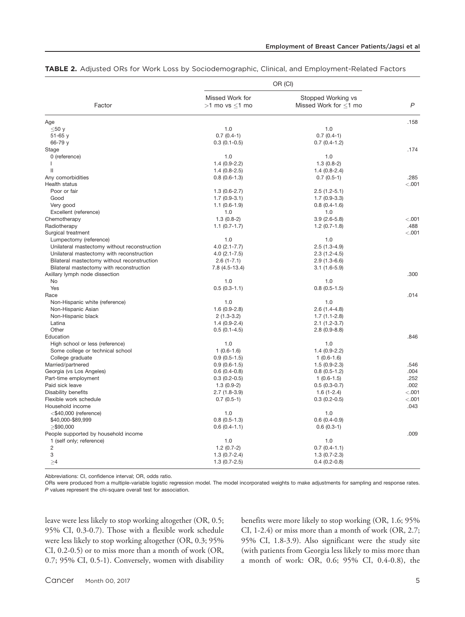|                                              | OR (CI)                               |                                             |         |
|----------------------------------------------|---------------------------------------|---------------------------------------------|---------|
| Factor                                       | Missed Work for<br>$>1$ mo vs $<1$ mo | Stopped Working vs<br>Missed Work for <1 mo | P       |
| Age                                          |                                       |                                             | .158    |
| $\leq 50$ y                                  | 1.0                                   | 1.0                                         |         |
| $51 - 65$ y                                  | $0.7(0.4-1)$                          | $0.7(0.4-1)$                                |         |
| 66-79 y                                      | $0.3(0.1-0.5)$                        | $0.7(0.4-1.2)$                              |         |
| Stage                                        |                                       |                                             | .174    |
| 0 (reference)                                | 1.0                                   | 1.0                                         |         |
| L                                            | $1.4(0.9-2.2)$                        | $1.3(0.8-2)$                                |         |
| $\mathbf{I}$                                 | $1.4(0.8-2.5)$                        | $1.4(0.8-2.4)$                              |         |
| Any comorbidities                            | $0.8(0.6-1.3)$                        | $0.7(0.5-1)$                                | .285    |
| Health status                                |                                       |                                             | < .001  |
| Poor or fair                                 | $1.3(0.6-2.7)$                        | $2.5(1.2-5.1)$                              |         |
| Good                                         | $1.7(0.9-3.1)$                        | $1.7(0.9-3.3)$                              |         |
| Very good                                    | $1.1(0.6-1.9)$                        | $0.8(0.4-1.6)$                              |         |
| Excellent (reference)                        | 1.0                                   | 1.0                                         |         |
| Chemotherapy                                 | $1.3(0.8-2)$                          | $3.9(2.6-5.8)$                              | $-.001$ |
| Radiotherapy                                 | $1.1 (0.7 - 1.7)$                     | $1.2(0.7-1.8)$                              | .488    |
| Surgical treatment                           |                                       |                                             | < .001  |
| Lumpectomy (reference)                       | 1.0                                   | 1.0                                         |         |
| Unilateral mastectomy without reconstruction | $4.0(2.1 - 7.7)$                      | $2.5(1.3-4.9)$                              |         |
| Unilateral mastectomy with reconstruction    | $4.0(2.1 - 7.5)$                      | $2.3(1.2-4.5)$                              |         |
| Bilateral mastectomy without reconstruction  | $2.6(1 - 7.1)$                        | $2.9(1.3-6.6)$                              |         |
| Bilateral mastectomy with reconstruction     | 7.8 (4.5-13.4)                        | $3.1(1.6-5.9)$                              |         |
| Axillary lymph node dissection               |                                       |                                             | .300    |
| No                                           | 1.0                                   | 1.0                                         |         |
| Yes                                          | $0.5(0.3-1.1)$                        | $0.8(0.5-1.5)$                              |         |
| Race                                         |                                       |                                             | .014    |
| Non-Hispanic white (reference)               | 1.0                                   | 1.0                                         |         |
| Non-Hispanic Asian                           | $1.6(0.9-2.8)$                        | $2.6(1.4-4.8)$                              |         |
| Non-Hispanic black                           | $2(1.3-3.2)$                          | $1.7(1.1-2.8)$                              |         |
| Latina                                       | $1.4(0.9-2.4)$                        | $2.1(1.2-3.7)$                              |         |
| Other                                        | $0.5(0.1-4.5)$                        | $2.8(0.9-8.8)$                              |         |
| Education                                    |                                       |                                             | .846    |
| High school or less (reference)              | 1.0                                   | 1.0                                         |         |
| Some college or technical school             | $1(0.6-1.6)$                          | $1.4(0.9-2.2)$                              |         |
| College graduate                             | $0.9(0.5-1.5)$                        | $1(0.6-1.6)$                                |         |
| Married/partnered                            | $0.9(0.6-1.5)$                        | $1.5(0.9-2.3)$                              | .546    |
| Georgia (vs Los Angeles)                     | $0.6(0.4-0.8)$                        | $0.8(0.5-1.2)$                              | .004    |
| Part-time employment                         | $0.3(0.2-0.5)$                        | $1(0.6-1.5)$                                | .252    |
| Paid sick leave                              |                                       |                                             | .002    |
|                                              | $1.3(0.9-2)$                          | $0.5(0.3-0.7)$                              | < .001  |
| Disability benefits                          | $2.7(1.8-3.9)$                        | $1.6(1-2.4)$                                |         |
| Flexible work schedule                       | $0.7(0.5-1)$                          | $0.3(0.2-0.5)$                              | < .001  |
| Household income                             |                                       |                                             | .043    |
| $<$ \$40,000 (reference)                     | 1.0                                   | 1.0                                         |         |
| \$40,000-\$89,999                            | $0.8(0.5-1.3)$                        | $0.6(0.4-0.9)$                              |         |
| $\ge$ \$90,000                               | $0.6(0.4-1.1)$                        | $0.6(0.3-1)$                                |         |
| People supported by household income         |                                       |                                             | .009    |
| 1 (self only; reference)                     | 1.0                                   | 1.0                                         |         |
| $\overline{c}$                               | $1.2(0.7-2)$                          | $0.7(0.4-1.1)$                              |         |
| 3                                            | $1.3(0.7-2.4)$                        | $1.3(0.7-2.3)$                              |         |
| $\geq 4$                                     | $1.3(0.7-2.5)$                        | $0.4(0.2-0.8)$                              |         |

TABLE 2. Adjusted ORs for Work Loss by Sociodemographic, Clinical, and Employment-Related Factors

Abbreviations: CI, confidence interval; OR, odds ratio.

ORs were produced from a multiple-variable logistic regression model. The model incorporated weights to make adjustments for sampling and response rates. P values represent the chi-square overall test for association.

leave were less likely to stop working altogether (OR, 0.5; 95% CI, 0.3-0.7). Those with a flexible work schedule were less likely to stop working altogether (OR, 0.3; 95% CI, 0.2-0.5) or to miss more than a month of work (OR, 0.7; 95% CI, 0.5-1). Conversely, women with disability benefits were more likely to stop working (OR, 1.6; 95% CI, 1-2.4) or miss more than a month of work (OR, 2.7; 95% CI, 1.8-3.9). Also significant were the study site (with patients from Georgia less likely to miss more than a month of work: OR, 0.6; 95% CI, 0.4-0.8), the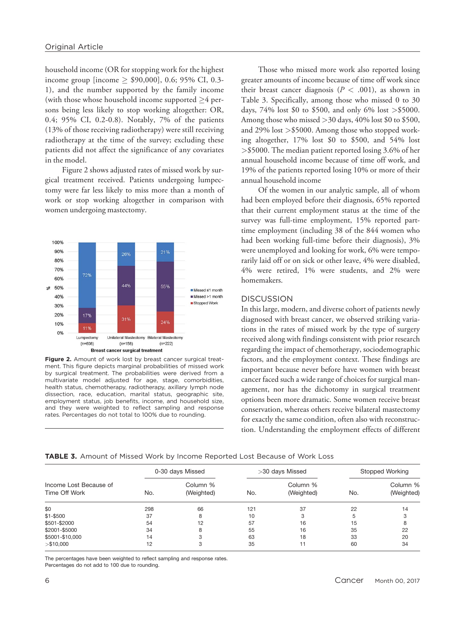household income (OR for stopping work for the highest income group [income  $\ge$  \$90,000], 0.6; 95% CI, 0.3-1), and the number supported by the family income (with those whose household income supported  $>4$  persons being less likely to stop working altogether: OR, 0.4; 95% CI, 0.2-0.8). Notably, 7% of the patients (13% of those receiving radiotherapy) were still receiving radiotherapy at the time of the survey; excluding these patients did not affect the significance of any covariates in the model.

Figure 2 shows adjusted rates of missed work by surgical treatment received. Patients undergoing lumpectomy were far less likely to miss more than a month of work or stop working altogether in comparison with women undergoing mastectomy.



Figure 2. Amount of work lost by breast cancer surgical treatment. This figure depicts marginal probabilities of missed work by surgical treatment. The probabilities were derived from a multivariate model adjusted for age, stage, comorbidities, health status, chemotherapy, radiotherapy, axillary lymph node dissection, race, education, marital status, geographic site, employment status, job benefits, income, and household size, and they were weighted to reflect sampling and response rates. Percentages do not total to 100% due to rounding.

Those who missed more work also reported losing greater amounts of income because of time off work since their breast cancer diagnosis ( $P < .001$ ), as shown in Table 3. Specifically, among those who missed 0 to 30 days, 74% lost \$0 to \$500, and only 6% lost >\$5000. Among those who missed  $>$  30 days, 40% lost \$0 to \$500, and 29% lost >\$5000. Among those who stopped working altogether, 17% lost \$0 to \$500, and 54% lost >\$5000. The median patient reported losing 3.6% of her annual household income because of time off work, and 19% of the patients reported losing 10% or more of their annual household income

Of the women in our analytic sample, all of whom had been employed before their diagnosis, 65% reported that their current employment status at the time of the survey was full-time employment, 15% reported parttime employment (including 38 of the 844 women who had been working full-time before their diagnosis), 3% were unemployed and looking for work, 6% were temporarily laid off or on sick or other leave, 4% were disabled, 4% were retired, 1% were students, and 2% were homemakers.

#### DISCUSSION

In this large, modern, and diverse cohort of patients newly diagnosed with breast cancer, we observed striking variations in the rates of missed work by the type of surgery received along with findings consistent with prior research regarding the impact of chemotherapy, sociodemographic factors, and the employment context. These findings are important because never before have women with breast cancer faced such a wide range of choices for surgical management, nor has the dichotomy in surgical treatment options been more dramatic. Some women receive breast conservation, whereas others receive bilateral mastectomy for exactly the same condition, often also with reconstruction. Understanding the employment effects of different

TABLE 3. Amount of Missed Work by Income Reported Lost Because of Work Loss

| Income Lost Because of<br>Time Off Work | 0-30 days Missed |                        | >30 days Missed |                        | Stopped Working |                        |
|-----------------------------------------|------------------|------------------------|-----------------|------------------------|-----------------|------------------------|
|                                         | No.              | Column %<br>(Weighted) | No.             | Column %<br>(Weighted) | No.             | Column %<br>(Weighted) |
| \$0                                     | 298              | 66                     | 121             | 37                     | 22              | 14                     |
| $$1 - $500$                             | 37               | 8                      | 10              |                        |                 |                        |
| \$501-\$2000                            | 54               | 12                     | 57              | 16                     | 15              | 8                      |
| \$2001-\$5000                           | 34               | 8                      | 55              | 16                     | 35              | 22                     |
| \$5001-\$10,000                         | 14               |                        | 63              | 18                     | 33              | 20                     |
| > \$10,000                              | 12               | د                      | 35              | 11                     | 60              | 34                     |

The percentages have been weighted to reflect sampling and response rates. Percentages do not add to 100 due to rounding.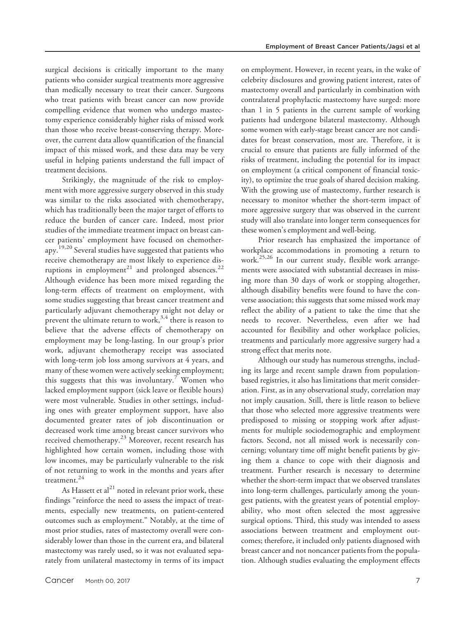surgical decisions is critically important to the many patients who consider surgical treatments more aggressive than medically necessary to treat their cancer. Surgeons who treat patients with breast cancer can now provide compelling evidence that women who undergo mastectomy experience considerably higher risks of missed work than those who receive breast-conserving therapy. Moreover, the current data allow quantification of the financial impact of this missed work, and these data may be very useful in helping patients understand the full impact of treatment decisions.

Strikingly, the magnitude of the risk to employment with more aggressive surgery observed in this study was similar to the risks associated with chemotherapy, which has traditionally been the major target of efforts to reduce the burden of cancer care. Indeed, most prior studies of the immediate treatment impact on breast cancer patients' employment have focused on chemotherapy.19,20 Several studies have suggested that patients who receive chemotherapy are most likely to experience disruptions in employment<sup>21</sup> and prolonged absences.<sup>22</sup> Although evidence has been more mixed regarding the long-term effects of treatment on employment, with some studies suggesting that breast cancer treatment and particularly adjuvant chemotherapy might not delay or prevent the ultimate return to work,  $3,4$  there is reason to believe that the adverse effects of chemotherapy on employment may be long-lasting. In our group's prior work, adjuvant chemotherapy receipt was associated with long-term job loss among survivors at 4 years, and many of these women were actively seeking employment; this suggests that this was involuntary.<sup>7</sup> Women who lacked employment support (sick leave or flexible hours) were most vulnerable. Studies in other settings, including ones with greater employment support, have also documented greater rates of job discontinuation or decreased work time among breast cancer survivors who received chemotherapy.<sup>23</sup> Moreover, recent research has highlighted how certain women, including those with low incomes, may be particularly vulnerable to the risk of not returning to work in the months and years after treatment.<sup>24</sup>

As Hassett et  $al^{21}$  noted in relevant prior work, these findings "reinforce the need to assess the impact of treatments, especially new treatments, on patient-centered outcomes such as employment." Notably, at the time of most prior studies, rates of mastectomy overall were considerably lower than those in the current era, and bilateral mastectomy was rarely used, so it was not evaluated separately from unilateral mastectomy in terms of its impact on employment. However, in recent years, in the wake of celebrity disclosures and growing patient interest, rates of mastectomy overall and particularly in combination with contralateral prophylactic mastectomy have surged: more than 1 in 5 patients in the current sample of working patients had undergone bilateral mastectomy. Although some women with early-stage breast cancer are not candidates for breast conservation, most are. Therefore, it is crucial to ensure that patients are fully informed of the risks of treatment, including the potential for its impact on employment (a critical component of financial toxicity), to optimize the true goals of shared decision making. With the growing use of mastectomy, further research is necessary to monitor whether the short-term impact of more aggressive surgery that was observed in the current study will also translate into longer term consequences for these women's employment and well-being.

Prior research has emphasized the importance of workplace accommodations in promoting a return to work.25,26 In our current study, flexible work arrangements were associated with substantial decreases in missing more than 30 days of work or stopping altogether, although disability benefits were found to have the converse association; this suggests that some missed work may reflect the ability of a patient to take the time that she needs to recover. Nevertheless, even after we had accounted for flexibility and other workplace policies, treatments and particularly more aggressive surgery had a strong effect that merits note.

Although our study has numerous strengths, including its large and recent sample drawn from populationbased registries, it also has limitations that merit consideration. First, as in any observational study, correlation may not imply causation. Still, there is little reason to believe that those who selected more aggressive treatments were predisposed to missing or stopping work after adjustments for multiple sociodemographic and employment factors. Second, not all missed work is necessarily concerning; voluntary time off might benefit patients by giving them a chance to cope with their diagnosis and treatment. Further research is necessary to determine whether the short-term impact that we observed translates into long-term challenges, particularly among the youngest patients, with the greatest years of potential employability, who most often selected the most aggressive surgical options. Third, this study was intended to assess associations between treatment and employment outcomes; therefore, it included only patients diagnosed with breast cancer and not noncancer patients from the population. Although studies evaluating the employment effects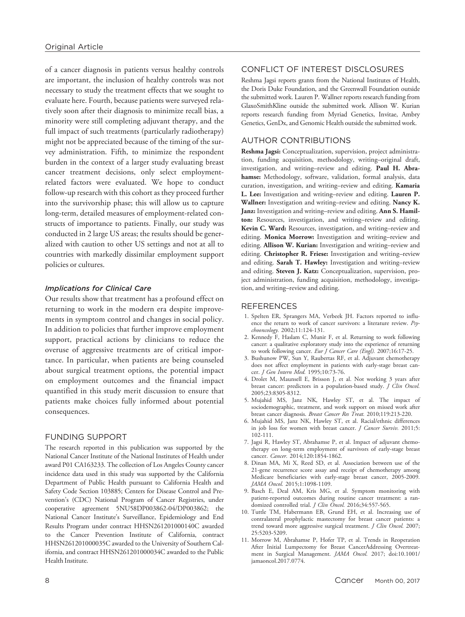of a cancer diagnosis in patients versus healthy controls are important, the inclusion of healthy controls was not necessary to study the treatment effects that we sought to evaluate here. Fourth, because patients were surveyed relatively soon after their diagnosis to minimize recall bias, a minority were still completing adjuvant therapy, and the full impact of such treatments (particularly radiotherapy) might not be appreciated because of the timing of the survey administration. Fifth, to minimize the respondent burden in the context of a larger study evaluating breast cancer treatment decisions, only select employmentrelated factors were evaluated. We hope to conduct follow-up research with this cohort as they proceed further into the survivorship phase; this will allow us to capture long-term, detailed measures of employment-related constructs of importance to patients. Finally, our study was conducted in 2 large US areas; the results should be generalized with caution to other US settings and not at all to countries with markedly dissimilar employment support policies or cultures.

#### Implications for Clinical Care

Our results show that treatment has a profound effect on returning to work in the modern era despite improvements in symptom control and changes in social policy. In addition to policies that further improve employment support, practical actions by clinicians to reduce the overuse of aggressive treatments are of critical importance. In particular, when patients are being counseled about surgical treatment options, the potential impact on employment outcomes and the financial impact quantified in this study merit discussion to ensure that patients make choices fully informed about potential consequences.

#### FUNDING SUPPORT

The research reported in this publication was supported by the National Cancer Institute of the National Institutes of Health under award P01 CA163233. The collection of Los Angeles County cancer incidence data used in this study was supported by the California Department of Public Health pursuant to California Health and Safety Code Section 103885; Centers for Disease Control and Prevention's (CDC) National Program of Cancer Registries, under cooperative agreement 5NU58DP003862-04/DP003862; the National Cancer Institute's Surveillance, Epidemiology and End Results Program under contract HHSN261201000140C awarded to the Cancer Prevention Institute of California, contract HHSN261201000035C awarded to the University of Southern California, and contract HHSN261201000034C awarded to the Public Health Institute.

## CONFLICT OF INTEREST DISCLOSURES

Reshma Jagsi reports grants from the National Institutes of Health, the Doris Duke Foundation, and the Greenwall Foundation outside the submitted work. Lauren P. Wallner reports research funding from GlaxoSmithKline outside the submitted work. Allison W. Kurian reports research funding from Myriad Genetics, Invitae, Ambry Genetics, GenDx, and Genomic Health outside the submitted work.

## AUTHOR CONTRIBUTIONS

Reshma Jagsi: Conceptualization, supervision, project administration, funding acquisition, methodology, writing–original draft, investigation, and writing-review and editing. Paul H. Abrahamse: Methodology, software, validation, formal analysis, data curation, investigation, and writing–review and editing. Kamaria L. Lee: Investigation and writing–review and editing. Lauren P. Wallner: Investigation and writing-review and editing. Nancy K. Janz: Investigation and writing-review and editing. Ann S. Hamilton: Resources, investigation, and writing–review and editing. Kevin C. Ward: Resources, investigation, and writing–review and editing. Monica Morrow: Investigation and writing–review and editing. Allison W. Kurian: Investigation and writing-review and editing. Christopher R. Friese: Investigation and writing-review and editing. Sarah T. Hawley: Investigation and writing-review and editing. Steven J. Katz: Conceptualization, supervision, project administration, funding acquisition, methodology, investigation, and writing–review and editing.

#### REFERENCES

- 1. Spelten ER, Sprangers MA, Verbeek JH. Factors reported to influence the return to work of cancer survivors: a literature review. Psychooncology. 2002;11:124-131.
- Kennedy F, Haslam C, Munir F, et al. Returning to work following cancer: a qualitative exploratory study into the experience of returning to work following cancer. Eur J Cancer Care (Engl). 2007;16:17-25.
- 3. Bushunow PW, Sun Y, Raubertas RF, et al. Adjuvant chemotherapy does not affect employment in patients with early-stage breast cancer. *J Gen Intern Med.* 1995;10:73-76.
- 4. Drolet M, Maunsell E, Brisson J, et al. Not working 3 years after breast cancer: predictors in a population-based study. *J Clin Oncol*. 2005;23:8305-8312.
- 5. Mujahid MS, Janz NK, Hawley ST, et al. The impact of sociodemographic, treatment, and work support on missed work after breast cancer diagnosis. Breast Cancer Res Treat. 2010;119:213-220.
- 6. Mujahid MS, Janz NK, Hawley ST, et al. Racial/ethnic differences in job loss for women with breast cancer. J Cancer Surviv. 2011;5: 102-111.
- 7. Jagsi R, Hawley ST, Abrahamse P, et al. Impact of adjuvant chemotherapy on long-term employment of survivors of early-stage breast cancer. Cancer. 2014;120:1854-1862.
- 8. Dinan MA, Mi X, Reed SD, et al. Association between use of the 21-gene recurrence score assay and receipt of chemotherapy among Medicare beneficiaries with early-stage breast cancer, 2005-2009. JAMA Oncol. 2015;1:1098-1109.
- 9. Basch E, Deal AM, Kris MG, et al. Symptom monitoring with patient-reported outcomes during routine cancer treatment: a randomized controlled trial. J Clin Oncol. 2016;34:557-565.
- 10. Tuttle TM, Habermann EB, Grund EH, et al. Increasing use of contralateral prophylactic mastectomy for breast cancer patients: a trend toward more aggressive surgical treatment. *J Clin Oncol.* 2007; 25:5203-5209.
- 11. Morrow M, Abrahamse P, Hofer TP, et al. Trends in Reoperation After Initial Lumpectomy for Breast CancerAddressing Overtreatment in Surgical Management. JAMA Oncol. 2017; doi[:10.1001/](info:doi/10.1001/jamaoncol.2017.0774) [jamaoncol.2017.0774.](info:doi/10.1001/jamaoncol.2017.0774)